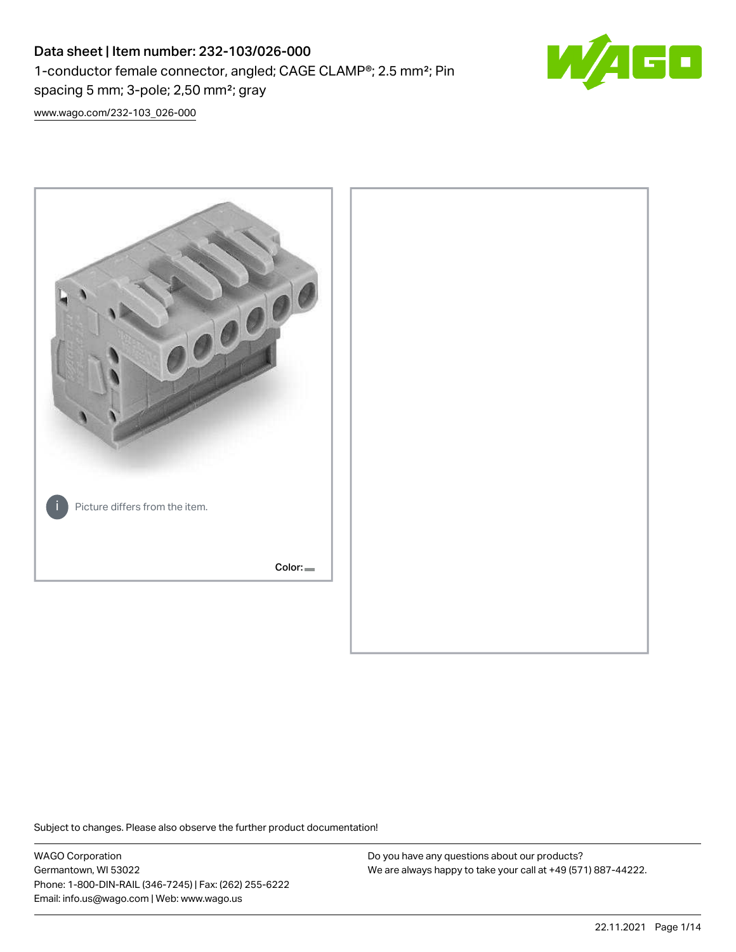# Data sheet | Item number: 232-103/026-000 1-conductor female connector, angled; CAGE CLAMP®; 2.5 mm²; Pin spacing 5 mm; 3-pole; 2,50 mm²; gray



[www.wago.com/232-103\\_026-000](http://www.wago.com/232-103_026-000)



Subject to changes. Please also observe the further product documentation!

WAGO Corporation Germantown, WI 53022 Phone: 1-800-DIN-RAIL (346-7245) | Fax: (262) 255-6222 Email: info.us@wago.com | Web: www.wago.us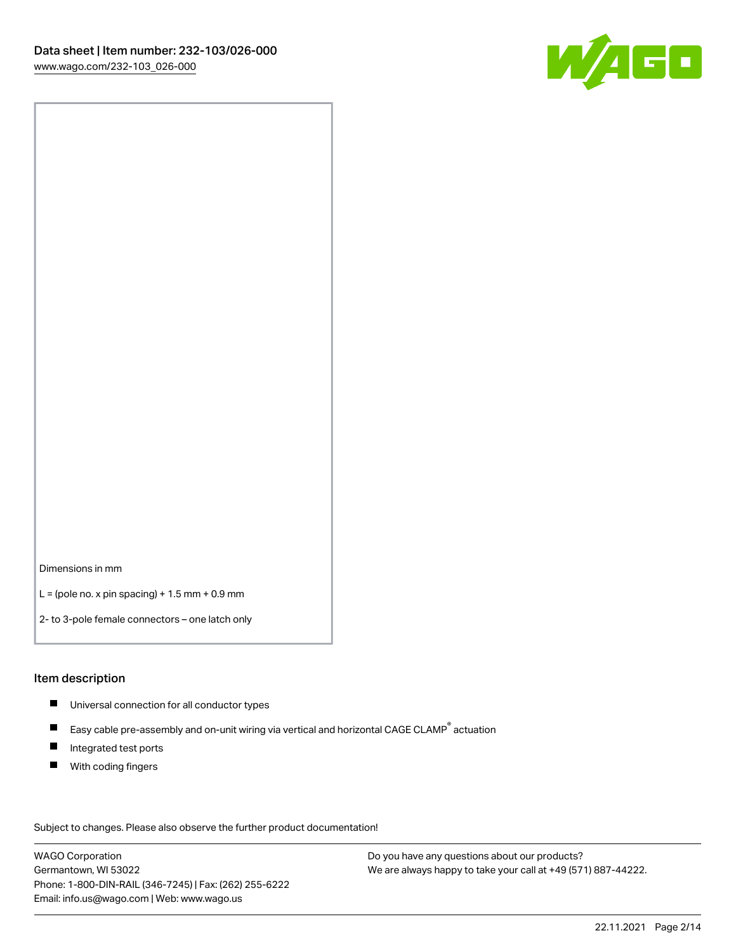

Dimensions in mm

 $L =$  (pole no. x pin spacing) + 1.5 mm + 0.9 mm

2- to 3-pole female connectors – one latch only

#### Item description

- **Universal connection for all conductor types**
- Easy cable pre-assembly and on-unit wiring via vertical and horizontal CAGE CLAMP<sup>®</sup> actuation  $\blacksquare$
- $\blacksquare$ Integrated test ports
- $\blacksquare$ With coding fingers

Subject to changes. Please also observe the further product documentation! Data

WAGO Corporation Germantown, WI 53022 Phone: 1-800-DIN-RAIL (346-7245) | Fax: (262) 255-6222 Email: info.us@wago.com | Web: www.wago.us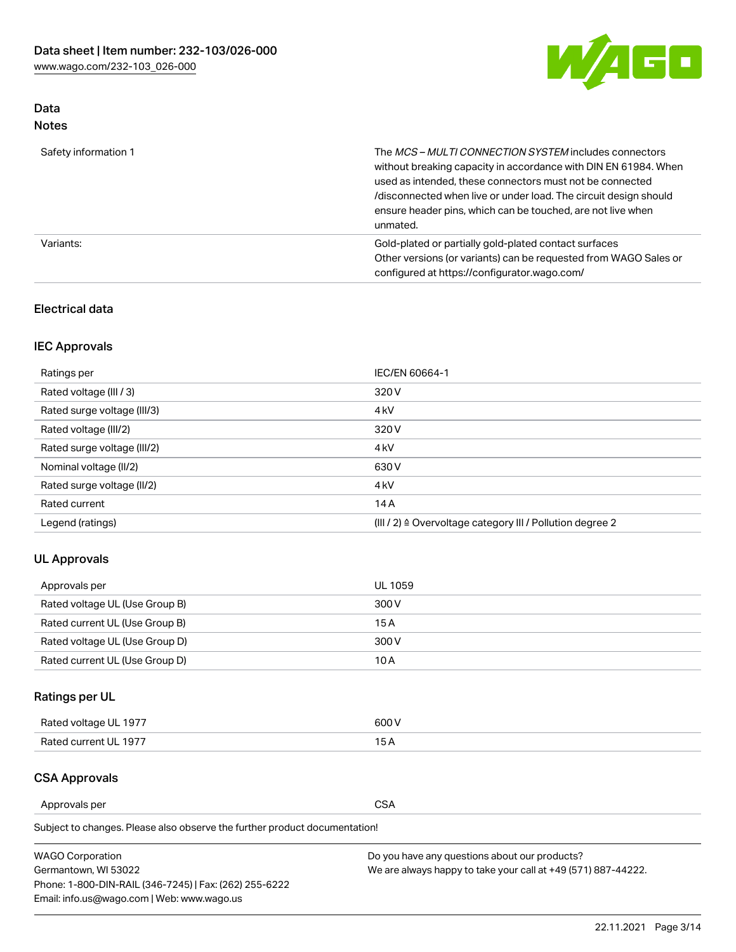

## Data Notes

| Safety information 1 | The MCS-MULTI CONNECTION SYSTEM includes connectors<br>without breaking capacity in accordance with DIN EN 61984. When<br>used as intended, these connectors must not be connected<br>/disconnected when live or under load. The circuit design should<br>ensure header pins, which can be touched, are not live when<br>unmated. |
|----------------------|-----------------------------------------------------------------------------------------------------------------------------------------------------------------------------------------------------------------------------------------------------------------------------------------------------------------------------------|
| Variants:            | Gold-plated or partially gold-plated contact surfaces<br>Other versions (or variants) can be requested from WAGO Sales or<br>configured at https://configurator.wago.com/                                                                                                                                                         |

### Electrical data

## IEC Approvals

| Ratings per                 | IEC/EN 60664-1                                                        |
|-----------------------------|-----------------------------------------------------------------------|
| Rated voltage (III / 3)     | 320 V                                                                 |
| Rated surge voltage (III/3) | 4 <sub>k</sub> V                                                      |
| Rated voltage (III/2)       | 320 V                                                                 |
| Rated surge voltage (III/2) | 4 <sub>k</sub> V                                                      |
| Nominal voltage (II/2)      | 630 V                                                                 |
| Rated surge voltage (II/2)  | 4 <sub>k</sub> V                                                      |
| Rated current               | 14A                                                                   |
| Legend (ratings)            | $(III / 2)$ $\triangle$ Overvoltage category III / Pollution degree 2 |

### UL Approvals

| Approvals per                  | UL 1059 |
|--------------------------------|---------|
| Rated voltage UL (Use Group B) | 300 V   |
| Rated current UL (Use Group B) | 15 A    |
| Rated voltage UL (Use Group D) | 300 V   |
| Rated current UL (Use Group D) | 10 A    |

## Ratings per UL

| Rated voltage UL 1977 | 600 V         |
|-----------------------|---------------|
| Rated current UL 1977 | $\sim$ $\sim$ |

### CSA Approvals

Approvals per CSA

Subject to changes. Please also observe the further product documentation!

| <b>WAGO Corporation</b>                                | Do you have any questions about our products?                 |
|--------------------------------------------------------|---------------------------------------------------------------|
| Germantown, WI 53022                                   | We are always happy to take your call at +49 (571) 887-44222. |
| Phone: 1-800-DIN-RAIL (346-7245)   Fax: (262) 255-6222 |                                                               |
| Email: info.us@wago.com   Web: www.wago.us             |                                                               |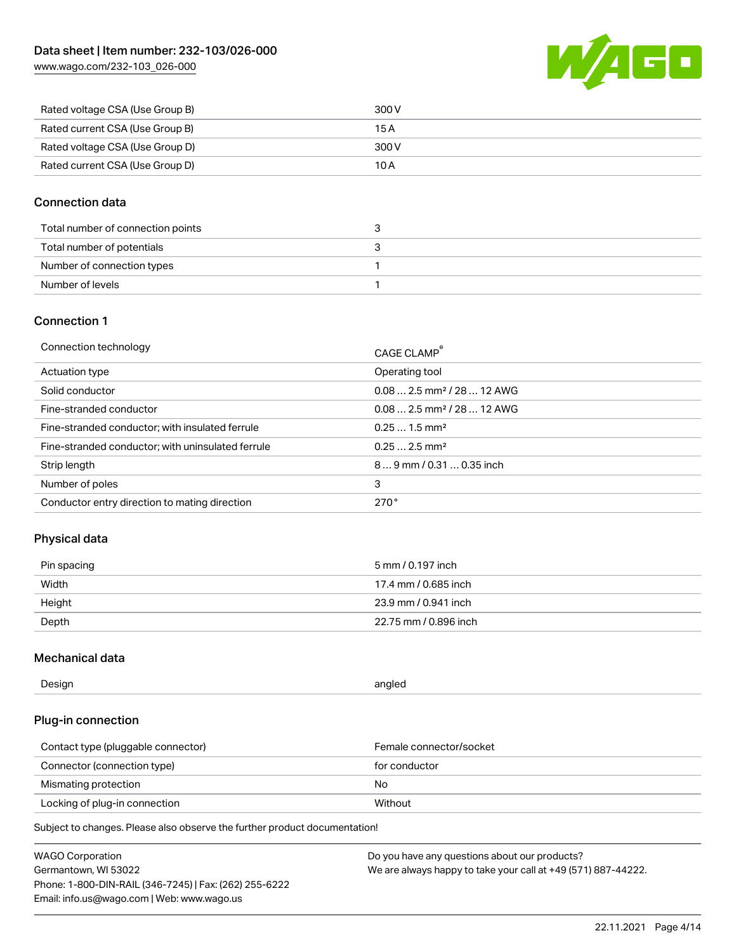[www.wago.com/232-103\\_026-000](http://www.wago.com/232-103_026-000)



| Rated voltage CSA (Use Group B) | 300 V |
|---------------------------------|-------|
| Rated current CSA (Use Group B) | 15 A  |
| Rated voltage CSA (Use Group D) | 300 V |
| Rated current CSA (Use Group D) | 10 A  |

### Connection data

| Total number of connection points |  |
|-----------------------------------|--|
| Total number of potentials        |  |
| Number of connection types        |  |
| Number of levels                  |  |

#### Connection 1

| Connection technology                             | CAGE CLAMP <sup>®</sup>                 |
|---------------------------------------------------|-----------------------------------------|
| Actuation type                                    | Operating tool                          |
| Solid conductor                                   | $0.082.5$ mm <sup>2</sup> / 28  12 AWG  |
| Fine-stranded conductor                           | $0.08$ 2.5 mm <sup>2</sup> / 28  12 AWG |
| Fine-stranded conductor; with insulated ferrule   | $0.251.5$ mm <sup>2</sup>               |
| Fine-stranded conductor; with uninsulated ferrule | $0.252.5$ mm <sup>2</sup>               |
| Strip length                                      | $89$ mm $/$ 0.31  0.35 inch             |
| Number of poles                                   | 3                                       |
| Conductor entry direction to mating direction     | 270°                                    |

### Physical data

| Pin spacing | 5 mm / 0.197 inch     |
|-------------|-----------------------|
| Width       | 17.4 mm / 0.685 inch  |
| Height      | 23.9 mm / 0.941 inch  |
| Depth       | 22.75 mm / 0.896 inch |

### Mechanical data

| Design<br>angled |  |
|------------------|--|
|------------------|--|

### Plug-in connection

| Contact type (pluggable connector) | Female connector/socket |
|------------------------------------|-------------------------|
| Connector (connection type)        | for conductor           |
| Mismating protection               | No                      |
| Locking of plug-in connection      | Without                 |

Subject to changes. Please also observe the further product documentation!

| <b>WAGO Corporation</b>                                | Do you have any questions about our products?                 |
|--------------------------------------------------------|---------------------------------------------------------------|
| Germantown, WI 53022                                   | We are always happy to take your call at +49 (571) 887-44222. |
| Phone: 1-800-DIN-RAIL (346-7245)   Fax: (262) 255-6222 |                                                               |
| Email: info.us@wago.com   Web: www.wago.us             |                                                               |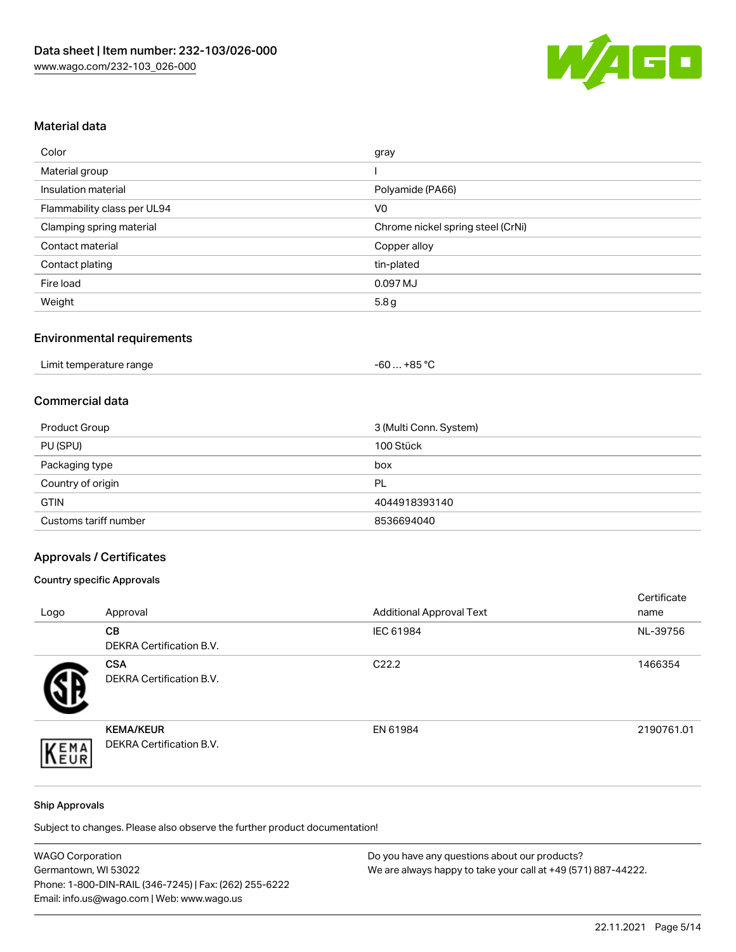

## Material data

| Color                       | gray                              |
|-----------------------------|-----------------------------------|
| Material group              |                                   |
| Insulation material         | Polyamide (PA66)                  |
| Flammability class per UL94 | V <sub>0</sub>                    |
| Clamping spring material    | Chrome nickel spring steel (CrNi) |
| Contact material            | Copper alloy                      |
| Contact plating             | tin-plated                        |
| Fire load                   | 0.097 MJ                          |
| Weight                      | 5.8 <sub>g</sub>                  |

#### Environmental requirements

| Limit temperature range<br>.<br>$\blacksquare$ | . +85 °Ր<br>-60 |  |
|------------------------------------------------|-----------------|--|
|------------------------------------------------|-----------------|--|

#### Commercial data

| Product Group         | 3 (Multi Conn. System) |
|-----------------------|------------------------|
| PU (SPU)              | 100 Stück              |
| Packaging type        | box                    |
| Country of origin     | PL                     |
| <b>GTIN</b>           | 4044918393140          |
| Customs tariff number | 8536694040             |

## Approvals / Certificates

#### Country specific Approvals

| Logo | Approval                                            | <b>Additional Approval Text</b> | Certificate<br>name |
|------|-----------------------------------------------------|---------------------------------|---------------------|
|      | CВ<br><b>DEKRA Certification B.V.</b>               | IEC 61984                       | NL-39756            |
|      | <b>CSA</b><br><b>DEKRA Certification B.V.</b>       | C <sub>22.2</sub>               | 1466354             |
| EMA  | <b>KEMA/KEUR</b><br><b>DEKRA Certification B.V.</b> | EN 61984                        | 2190761.01          |

#### Ship Approvals

Subject to changes. Please also observe the further product documentation!

| <b>WAGO Corporation</b>                                | Do you have any questions about our products?                 |
|--------------------------------------------------------|---------------------------------------------------------------|
| Germantown, WI 53022                                   | We are always happy to take your call at +49 (571) 887-44222. |
| Phone: 1-800-DIN-RAIL (346-7245)   Fax: (262) 255-6222 |                                                               |
| Email: info.us@wago.com   Web: www.wago.us             |                                                               |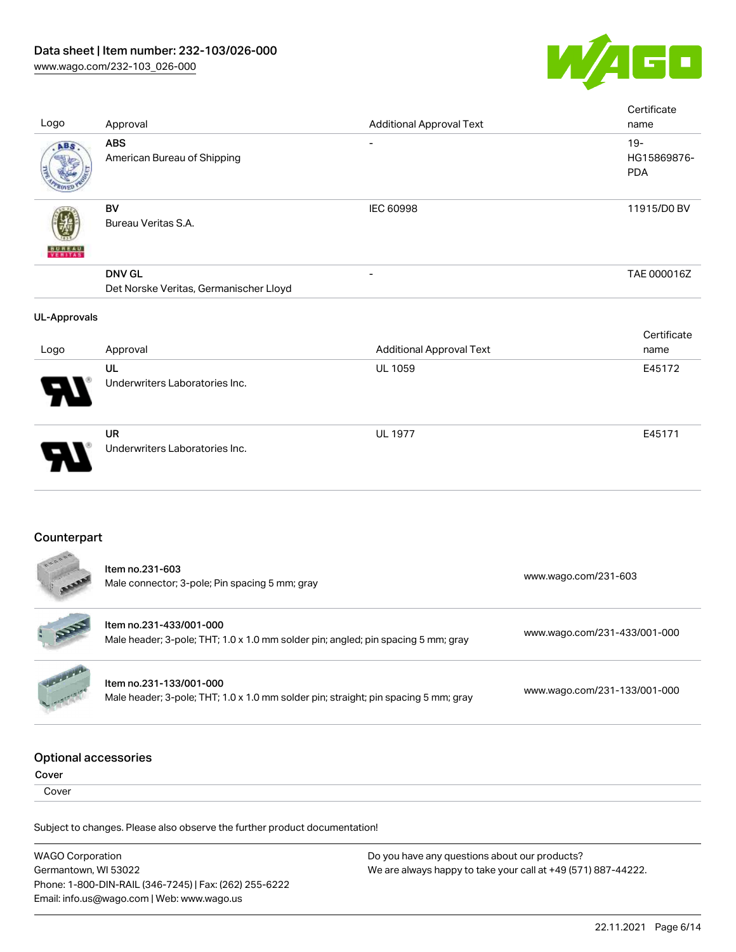

| Logo                                 | Approval                                                                                                       | <b>Additional Approval Text</b> | Certificate<br>name                 |
|--------------------------------------|----------------------------------------------------------------------------------------------------------------|---------------------------------|-------------------------------------|
| ABS                                  | <b>ABS</b><br>American Bureau of Shipping                                                                      |                                 | $19 -$<br>HG15869876-<br><b>PDA</b> |
|                                      | <b>BV</b><br>Bureau Veritas S.A.                                                                               | <b>IEC 60998</b>                | 11915/D0 BV                         |
|                                      | <b>DNV GL</b><br>Det Norske Veritas, Germanischer Lloyd                                                        |                                 | TAE 000016Z                         |
| <b>UL-Approvals</b>                  |                                                                                                                |                                 |                                     |
| Logo                                 | Approval                                                                                                       | <b>Additional Approval Text</b> | Certificate<br>name                 |
|                                      | UL<br>Underwriters Laboratories Inc.                                                                           | <b>UL 1059</b>                  | E45172                              |
|                                      | <b>UR</b><br>Underwriters Laboratories Inc.                                                                    | <b>UL 1977</b>                  | E45171                              |
| Counterpart                          |                                                                                                                |                                 |                                     |
|                                      | Item no.231-603<br>Male connector; 3-pole; Pin spacing 5 mm; gray                                              |                                 | www.wago.com/231-603                |
|                                      | Item no.231-433/001-000<br>Male header; 3-pole; THT; 1.0 x 1.0 mm solder pin; angled; pin spacing 5 mm; gray   |                                 | www.wago.com/231-433/001-000        |
|                                      | Item no.231-133/001-000<br>Male header; 3-pole; THT; 1.0 x 1.0 mm solder pin; straight; pin spacing 5 mm; gray |                                 | www.wago.com/231-133/001-000        |
| <b>Optional accessories</b><br>Cover |                                                                                                                |                                 |                                     |
| Cover                                |                                                                                                                |                                 |                                     |
|                                      | Subject to changes. Please also observe the further product documentation!                                     |                                 |                                     |

WAGO Corporation Germantown, WI 53022 Phone: 1-800-DIN-RAIL (346-7245) | Fax: (262) 255-6222 Email: info.us@wago.com | Web: www.wago.us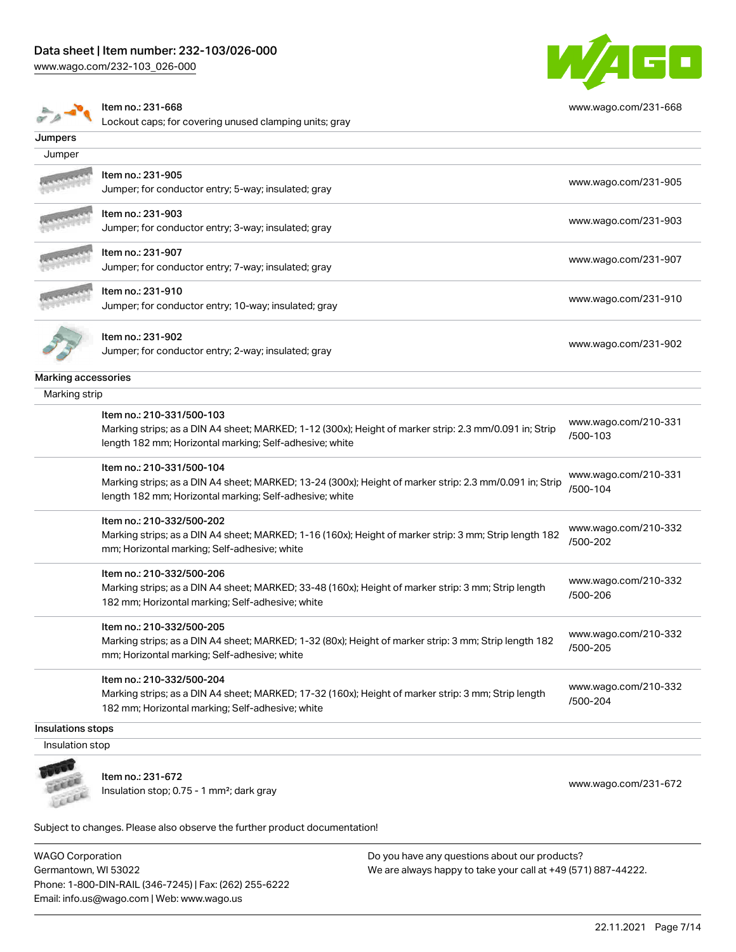### Data sheet | Item number: 232-103/026-000

[www.wago.com/232-103\\_026-000](http://www.wago.com/232-103_026-000)



[www.wago.com/231-668](http://www.wago.com/231-668)

 $\sqrt{2}$ 

Item no.: 231-668

Lockout caps; for covering unused clamping units; gray

| Jumpers             |                                                                                                         |                                  |
|---------------------|---------------------------------------------------------------------------------------------------------|----------------------------------|
| Jumper              |                                                                                                         |                                  |
|                     | Item no.: 231-905                                                                                       | www.wago.com/231-905             |
|                     | Jumper; for conductor entry; 5-way; insulated; gray                                                     |                                  |
|                     | Item no.: 231-903                                                                                       | www.wago.com/231-903             |
|                     | Jumper; for conductor entry; 3-way; insulated; gray                                                     |                                  |
|                     | Item no.: 231-907                                                                                       | www.wago.com/231-907             |
|                     | Jumper; for conductor entry; 7-way; insulated; gray                                                     |                                  |
|                     | Item no.: 231-910                                                                                       | www.wago.com/231-910             |
|                     | Jumper; for conductor entry; 10-way; insulated; gray                                                    |                                  |
|                     | Item no.: 231-902                                                                                       |                                  |
|                     | Jumper; for conductor entry; 2-way; insulated; gray                                                     | www.wago.com/231-902             |
| Marking accessories |                                                                                                         |                                  |
| Marking strip       |                                                                                                         |                                  |
|                     | Item no.: 210-331/500-103                                                                               |                                  |
|                     | Marking strips; as a DIN A4 sheet; MARKED; 1-12 (300x); Height of marker strip: 2.3 mm/0.091 in; Strip  | www.wago.com/210-331<br>/500-103 |
|                     | length 182 mm; Horizontal marking; Self-adhesive; white                                                 |                                  |
|                     | Item no.: 210-331/500-104                                                                               | www.wago.com/210-331             |
|                     | Marking strips; as a DIN A4 sheet; MARKED; 13-24 (300x); Height of marker strip: 2.3 mm/0.091 in; Strip | /500-104                         |
|                     | length 182 mm; Horizontal marking; Self-adhesive; white                                                 |                                  |
|                     | Item no.: 210-332/500-202                                                                               |                                  |
|                     | Marking strips; as a DIN A4 sheet; MARKED; 1-16 (160x); Height of marker strip: 3 mm; Strip length 182  | www.wago.com/210-332<br>/500-202 |
|                     | mm; Horizontal marking; Self-adhesive; white                                                            |                                  |
|                     | Item no.: 210-332/500-206                                                                               |                                  |
|                     | Marking strips; as a DIN A4 sheet; MARKED; 33-48 (160x); Height of marker strip: 3 mm; Strip length     | www.wago.com/210-332<br>/500-206 |
|                     | 182 mm; Horizontal marking; Self-adhesive; white                                                        |                                  |
|                     | Item no.: 210-332/500-205                                                                               | www.wago.com/210-332             |
|                     | Marking strips; as a DIN A4 sheet; MARKED; 1-32 (80x); Height of marker strip: 3 mm; Strip length 182   | /500-205                         |
|                     | mm; Horizontal marking; Self-adhesive; white                                                            |                                  |
|                     | Item no.: 210-332/500-204                                                                               |                                  |
|                     | Marking strips; as a DIN A4 sheet; MARKED; 17-32 (160x); Height of marker strip: 3 mm; Strip length     | www.wago.com/210-332<br>/500-204 |
|                     | 182 mm; Horizontal marking; Self-adhesive; white                                                        |                                  |
| Insulations stops   |                                                                                                         |                                  |
| Insulation stop     |                                                                                                         |                                  |
|                     |                                                                                                         |                                  |
|                     | Item no.: 231-672                                                                                       | www.wago.com/231-672             |
|                     | Insulation stop; 0.75 - 1 mm <sup>2</sup> ; dark gray                                                   |                                  |

Subject to changes. Please also observe the further product documentation!

WAGO Corporation Germantown, WI 53022 Phone: 1-800-DIN-RAIL (346-7245) | Fax: (262) 255-6222 Email: info.us@wago.com | Web: www.wago.us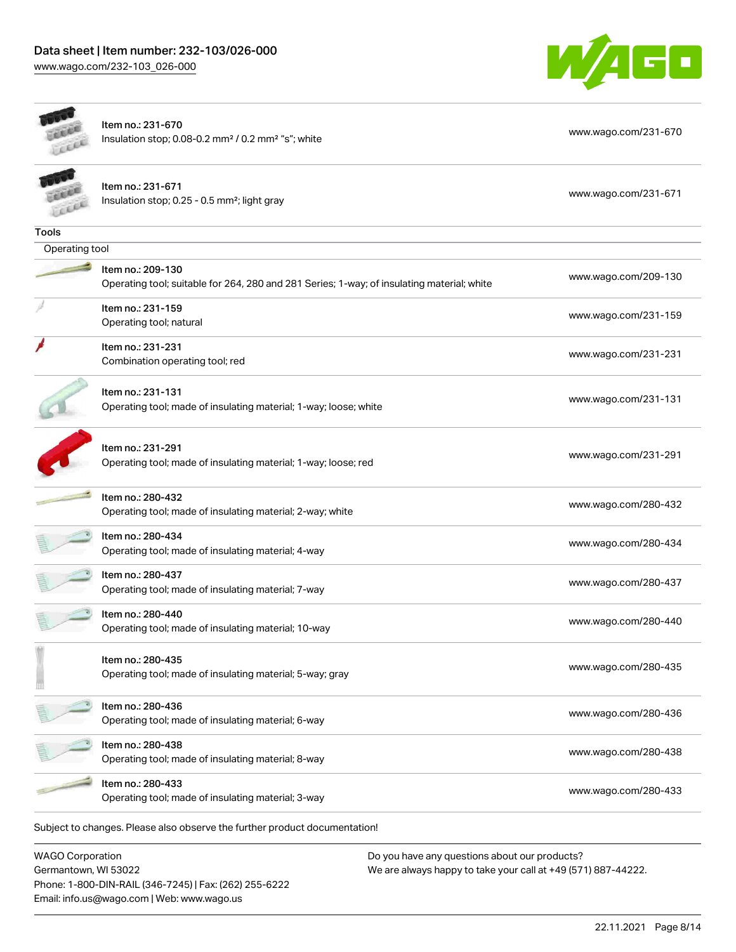

|                | Item no.: 231-670<br>Insulation stop; 0.08-0.2 mm <sup>2</sup> / 0.2 mm <sup>2</sup> "s"; white                 | www.wago.com/231-670 |
|----------------|-----------------------------------------------------------------------------------------------------------------|----------------------|
|                | Item no.: 231-671<br>Insulation stop; 0.25 - 0.5 mm <sup>2</sup> ; light gray                                   | www.wago.com/231-671 |
| Tools          |                                                                                                                 |                      |
| Operating tool |                                                                                                                 |                      |
|                | Item no.: 209-130<br>Operating tool; suitable for 264, 280 and 281 Series; 1-way; of insulating material; white | www.wago.com/209-130 |
|                | Item no.: 231-159<br>Operating tool; natural                                                                    | www.wago.com/231-159 |
|                | Item no.: 231-231<br>Combination operating tool; red                                                            | www.wago.com/231-231 |
|                | Item no.: 231-131<br>Operating tool; made of insulating material; 1-way; loose; white                           | www.wago.com/231-131 |
|                | Item no.: 231-291<br>Operating tool; made of insulating material; 1-way; loose; red                             | www.wago.com/231-291 |
|                | Item no.: 280-432<br>Operating tool; made of insulating material; 2-way; white                                  | www.wago.com/280-432 |
|                | Item no.: 280-434<br>Operating tool; made of insulating material; 4-way                                         | www.wago.com/280-434 |
|                | Item no.: 280-437<br>Operating tool; made of insulating material; 7-way                                         | www.wago.com/280-437 |
|                | Item no.: 280-440<br>Operating tool; made of insulating material; 10-way                                        | www.wago.com/280-440 |
|                | Item no.: 280-435<br>Operating tool; made of insulating material; 5-way; gray                                   | www.wago.com/280-435 |
|                | Item no.: 280-436<br>Operating tool; made of insulating material; 6-way                                         | www.wago.com/280-436 |
|                | Item no.: 280-438<br>Operating tool; made of insulating material; 8-way                                         | www.wago.com/280-438 |
|                | Item no.: 280-433<br>Operating tool; made of insulating material; 3-way                                         | www.wago.com/280-433 |
|                | Subject to changes. Please also observe the further product documentation!                                      |                      |
|                |                                                                                                                 |                      |

WAGO Corporation Germantown, WI 53022 Phone: 1-800-DIN-RAIL (346-7245) | Fax: (262) 255-6222 Email: info.us@wago.com | Web: www.wago.us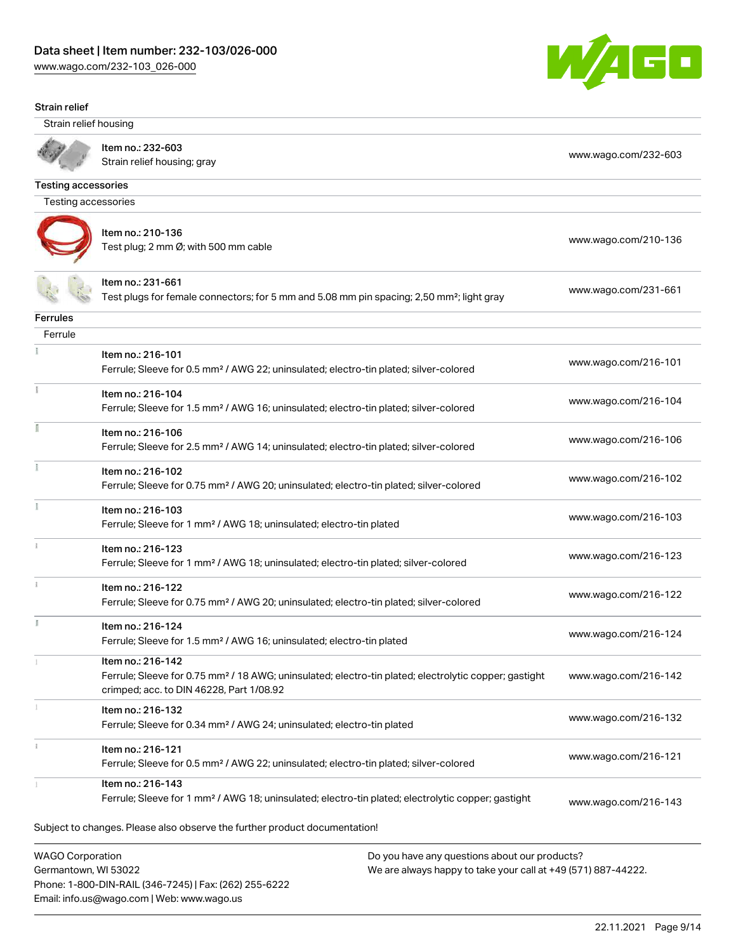Email: info.us@wago.com | Web: www.wago.us

[www.wago.com/232-103\\_026-000](http://www.wago.com/232-103_026-000)



#### Strain relief

Strain relief housing

|                                                 | Item no.: 232-603                                                                                                                                                                                                 |                                                                                                                | www.wago.com/232-603 |
|-------------------------------------------------|-------------------------------------------------------------------------------------------------------------------------------------------------------------------------------------------------------------------|----------------------------------------------------------------------------------------------------------------|----------------------|
|                                                 | Strain relief housing; gray                                                                                                                                                                                       |                                                                                                                |                      |
| <b>Testing accessories</b>                      |                                                                                                                                                                                                                   |                                                                                                                |                      |
| Testing accessories                             |                                                                                                                                                                                                                   |                                                                                                                |                      |
|                                                 | Item no.: 210-136<br>Test plug; 2 mm Ø; with 500 mm cable                                                                                                                                                         |                                                                                                                | www.wago.com/210-136 |
|                                                 | Item no.: 231-661<br>Test plugs for female connectors; for 5 mm and 5.08 mm pin spacing; 2,50 mm <sup>2</sup> ; light gray                                                                                        |                                                                                                                | www.wago.com/231-661 |
| <b>Ferrules</b>                                 |                                                                                                                                                                                                                   |                                                                                                                |                      |
| Ferrule                                         |                                                                                                                                                                                                                   |                                                                                                                |                      |
|                                                 | Item no.: 216-101<br>Ferrule; Sleeve for 0.5 mm <sup>2</sup> / AWG 22; uninsulated; electro-tin plated; silver-colored                                                                                            |                                                                                                                | www.wago.com/216-101 |
|                                                 | Item no.: 216-104<br>Ferrule; Sleeve for 1.5 mm <sup>2</sup> / AWG 16; uninsulated; electro-tin plated; silver-colored                                                                                            |                                                                                                                | www.wago.com/216-104 |
|                                                 | Item no.: 216-106<br>Ferrule; Sleeve for 2.5 mm <sup>2</sup> / AWG 14; uninsulated; electro-tin plated; silver-colored                                                                                            |                                                                                                                | www.wago.com/216-106 |
|                                                 | Item no.: 216-102<br>Ferrule; Sleeve for 0.75 mm <sup>2</sup> / AWG 20; uninsulated; electro-tin plated; silver-colored                                                                                           |                                                                                                                | www.wago.com/216-102 |
|                                                 | Item no.: 216-103<br>Ferrule; Sleeve for 1 mm <sup>2</sup> / AWG 18; uninsulated; electro-tin plated                                                                                                              |                                                                                                                | www.wago.com/216-103 |
|                                                 | Item no.: 216-123<br>Ferrule; Sleeve for 1 mm <sup>2</sup> / AWG 18; uninsulated; electro-tin plated; silver-colored                                                                                              |                                                                                                                | www.wago.com/216-123 |
|                                                 | Item no.: 216-122<br>Ferrule; Sleeve for 0.75 mm <sup>2</sup> / AWG 20; uninsulated; electro-tin plated; silver-colored                                                                                           |                                                                                                                | www.wago.com/216-122 |
|                                                 | Item no.: 216-124<br>Ferrule; Sleeve for 1.5 mm <sup>2</sup> / AWG 16; uninsulated; electro-tin plated                                                                                                            |                                                                                                                | www.wago.com/216-124 |
|                                                 | Item no.: 216-142<br>Ferrule; Sleeve for 0.75 mm <sup>2</sup> / 18 AWG; uninsulated; electro-tin plated; electrolytic copper; gastight<br>crimped; acc. to DIN 46228, Part 1/08.92                                |                                                                                                                | www.wago.com/216-142 |
|                                                 | Item no.: 216-132<br>Ferrule; Sleeve for 0.34 mm <sup>2</sup> / AWG 24; uninsulated; electro-tin plated                                                                                                           |                                                                                                                | www.wago.com/216-132 |
|                                                 | Item no.: 216-121<br>Ferrule; Sleeve for 0.5 mm <sup>2</sup> / AWG 22; uninsulated; electro-tin plated; silver-colored                                                                                            |                                                                                                                | www.wago.com/216-121 |
|                                                 | Item no.: 216-143<br>Ferrule; Sleeve for 1 mm <sup>2</sup> / AWG 18; uninsulated; electro-tin plated; electrolytic copper; gastight<br>Subject to changes. Please also observe the further product documentation! |                                                                                                                | www.wago.com/216-143 |
|                                                 |                                                                                                                                                                                                                   |                                                                                                                |                      |
| <b>WAGO Corporation</b><br>Germantown, WI 53022 | Phone: 1-800-DIN-RAIL (346-7245)   Fax: (262) 255-6222                                                                                                                                                            | Do you have any questions about our products?<br>We are always happy to take your call at +49 (571) 887-44222. |                      |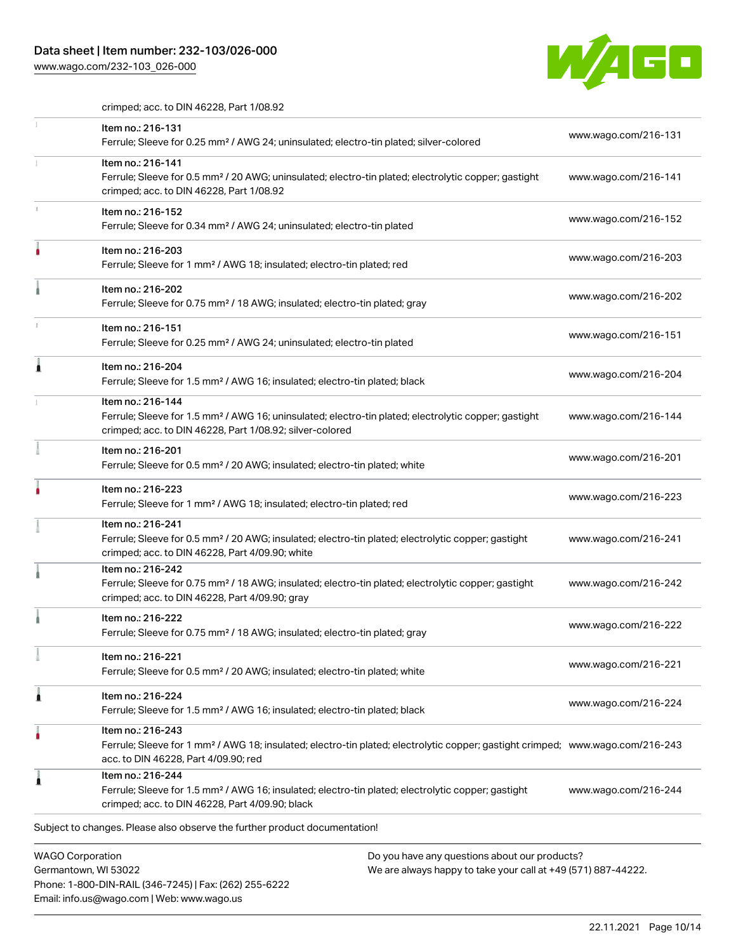## Data sheet | Item number: 232-103/026-000

Email: info.us@wago.com | Web: www.wago.us

[www.wago.com/232-103\\_026-000](http://www.wago.com/232-103_026-000)



crimped; acc. to DIN 46228, Part 1/08.92

|   | Item no.: 216-131<br>Ferrule; Sleeve for 0.25 mm <sup>2</sup> / AWG 24; uninsulated; electro-tin plated; silver-colored                                                                                 | www.wago.com/216-131                                          |
|---|---------------------------------------------------------------------------------------------------------------------------------------------------------------------------------------------------------|---------------------------------------------------------------|
|   | Item no.: 216-141<br>Ferrule; Sleeve for 0.5 mm <sup>2</sup> / 20 AWG; uninsulated; electro-tin plated; electrolytic copper; gastight<br>crimped; acc. to DIN 46228, Part 1/08.92                       | www.wago.com/216-141                                          |
|   | Item no.: 216-152<br>Ferrule; Sleeve for 0.34 mm <sup>2</sup> / AWG 24; uninsulated; electro-tin plated                                                                                                 | www.wago.com/216-152                                          |
|   | Item no.: 216-203<br>Ferrule; Sleeve for 1 mm <sup>2</sup> / AWG 18; insulated; electro-tin plated; red                                                                                                 | www.wago.com/216-203                                          |
|   | Item no.: 216-202<br>Ferrule; Sleeve for 0.75 mm <sup>2</sup> / 18 AWG; insulated; electro-tin plated; gray                                                                                             | www.wago.com/216-202                                          |
|   | Item no.: 216-151<br>Ferrule; Sleeve for 0.25 mm <sup>2</sup> / AWG 24; uninsulated; electro-tin plated                                                                                                 | www.wago.com/216-151                                          |
|   | Item no.: 216-204<br>Ferrule; Sleeve for 1.5 mm <sup>2</sup> / AWG 16; insulated; electro-tin plated; black                                                                                             | www.wago.com/216-204                                          |
|   | Item no.: 216-144<br>Ferrule; Sleeve for 1.5 mm <sup>2</sup> / AWG 16; uninsulated; electro-tin plated; electrolytic copper; gastight<br>crimped; acc. to DIN 46228, Part 1/08.92; silver-colored       | www.wago.com/216-144                                          |
|   | Item no.: 216-201<br>Ferrule; Sleeve for 0.5 mm <sup>2</sup> / 20 AWG; insulated; electro-tin plated; white                                                                                             | www.wago.com/216-201                                          |
|   | Item no.: 216-223<br>Ferrule; Sleeve for 1 mm <sup>2</sup> / AWG 18; insulated; electro-tin plated; red                                                                                                 | www.wago.com/216-223                                          |
|   | Item no.: 216-241<br>Ferrule; Sleeve for 0.5 mm <sup>2</sup> / 20 AWG; insulated; electro-tin plated; electrolytic copper; gastight<br>crimped; acc. to DIN 46228, Part 4/09.90; white                  | www.wago.com/216-241                                          |
|   | Item no.: 216-242<br>Ferrule; Sleeve for 0.75 mm <sup>2</sup> / 18 AWG; insulated; electro-tin plated; electrolytic copper; gastight<br>crimped; acc. to DIN 46228, Part 4/09.90; gray                  | www.wago.com/216-242                                          |
|   | Item no.: 216-222<br>Ferrule; Sleeve for 0.75 mm <sup>2</sup> / 18 AWG; insulated; electro-tin plated; gray                                                                                             | www.wago.com/216-222                                          |
| ÷ | Item no.: 216-221<br>Ferrule; Sleeve for 0.5 mm <sup>2</sup> / 20 AWG; insulated; electro-tin plated; white                                                                                             | www.wago.com/216-221                                          |
| ٨ | Item no.: 216-224<br>Ferrule; Sleeve for 1.5 mm <sup>2</sup> / AWG 16; insulated; electro-tin plated; black                                                                                             | www.wago.com/216-224                                          |
|   | Item no.: 216-243<br>Ferrule; Sleeve for 1 mm <sup>2</sup> / AWG 18; insulated; electro-tin plated; electrolytic copper; gastight crimped; www.wago.com/216-243<br>acc. to DIN 46228, Part 4/09.90; red |                                                               |
|   | Item no.: 216-244<br>Ferrule; Sleeve for 1.5 mm <sup>2</sup> / AWG 16; insulated; electro-tin plated; electrolytic copper; gastight<br>crimped; acc. to DIN 46228, Part 4/09.90; black                  | www.wago.com/216-244                                          |
|   | Subject to changes. Please also observe the further product documentation!                                                                                                                              |                                                               |
|   | <b>WAGO Corporation</b><br>Do you have any questions about our products?<br>Germantown, WI 53022<br>Phone: 1-800-DIN-RAIL (346-7245)   Fax: (262) 255-6222                                              | We are always happy to take your call at +49 (571) 887-44222. |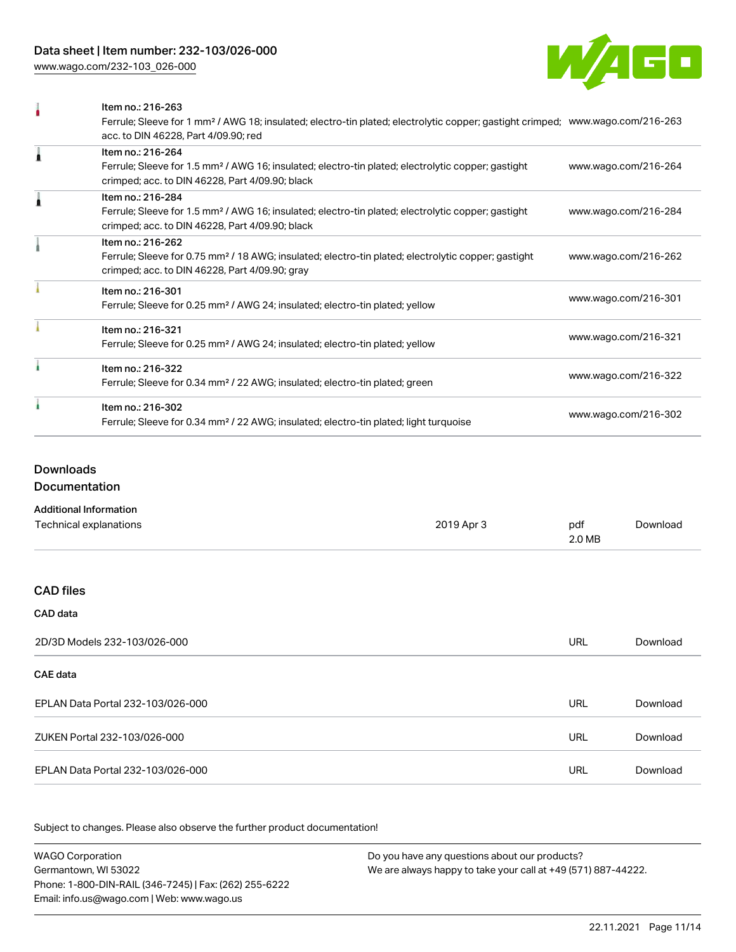[www.wago.com/232-103\\_026-000](http://www.wago.com/232-103_026-000)



| Item no.: 216-263                                                                                                                          |                      |
|--------------------------------------------------------------------------------------------------------------------------------------------|----------------------|
| Ferrule; Sleeve for 1 mm <sup>2</sup> / AWG 18; insulated; electro-tin plated; electrolytic copper; gastight crimped; www.wago.com/216-263 |                      |
| acc. to DIN 46228, Part 4/09.90; red                                                                                                       |                      |
| Item no.: 216-264                                                                                                                          |                      |
| Ferrule; Sleeve for 1.5 mm <sup>2</sup> / AWG 16; insulated; electro-tin plated; electrolytic copper; gastight                             | www.wago.com/216-264 |
| crimped; acc. to DIN 46228, Part 4/09.90; black                                                                                            |                      |
| Item no.: 216-284                                                                                                                          |                      |
| Ferrule; Sleeve for 1.5 mm <sup>2</sup> / AWG 16; insulated; electro-tin plated; electrolytic copper; gastight                             | www.wago.com/216-284 |
| crimped; acc. to DIN 46228, Part 4/09.90; black                                                                                            |                      |
| Item no.: 216-262                                                                                                                          |                      |
| Ferrule; Sleeve for 0.75 mm <sup>2</sup> / 18 AWG; insulated; electro-tin plated; electrolytic copper; gastight                            | www.wago.com/216-262 |
| crimped; acc. to DIN 46228, Part 4/09.90; gray                                                                                             |                      |
| Item no.: 216-301                                                                                                                          |                      |
| Ferrule; Sleeve for 0.25 mm <sup>2</sup> / AWG 24; insulated; electro-tin plated; yellow                                                   | www.wago.com/216-301 |
| Item no.: 216-321                                                                                                                          |                      |
| Ferrule; Sleeve for 0.25 mm <sup>2</sup> / AWG 24; insulated; electro-tin plated; yellow                                                   | www.wago.com/216-321 |
| Item no.: 216-322                                                                                                                          |                      |
| Ferrule; Sleeve for 0.34 mm <sup>2</sup> / 22 AWG; insulated; electro-tin plated; green                                                    | www.wago.com/216-322 |
| Item no.: 216-302                                                                                                                          |                      |
| Ferrule; Sleeve for 0.34 mm <sup>2</sup> / 22 AWG; insulated; electro-tin plated; light turquoise                                          | www.wago.com/216-302 |
|                                                                                                                                            |                      |

### Downloads

**Documentation** 

#### Additional Information

| Technical explanations            | 2019 Apr 3 | pdf<br>2.0 MB | Download |
|-----------------------------------|------------|---------------|----------|
|                                   |            |               |          |
| <b>CAD files</b>                  |            |               |          |
| CAD data                          |            |               |          |
| 2D/3D Models 232-103/026-000      |            | <b>URL</b>    | Download |
| <b>CAE</b> data                   |            |               |          |
| EPLAN Data Portal 232-103/026-000 |            | <b>URL</b>    | Download |
| ZUKEN Portal 232-103/026-000      |            | <b>URL</b>    | Download |
| EPLAN Data Portal 232-103/026-000 |            | <b>URL</b>    | Download |

Subject to changes. Please also observe the further product documentation!

WAGO Corporation Germantown, WI 53022 Phone: 1-800-DIN-RAIL (346-7245) | Fax: (262) 255-6222 Email: info.us@wago.com | Web: www.wago.us Do you have any questions about our products? We are always happy to take your call at +49 (571) 887-44222.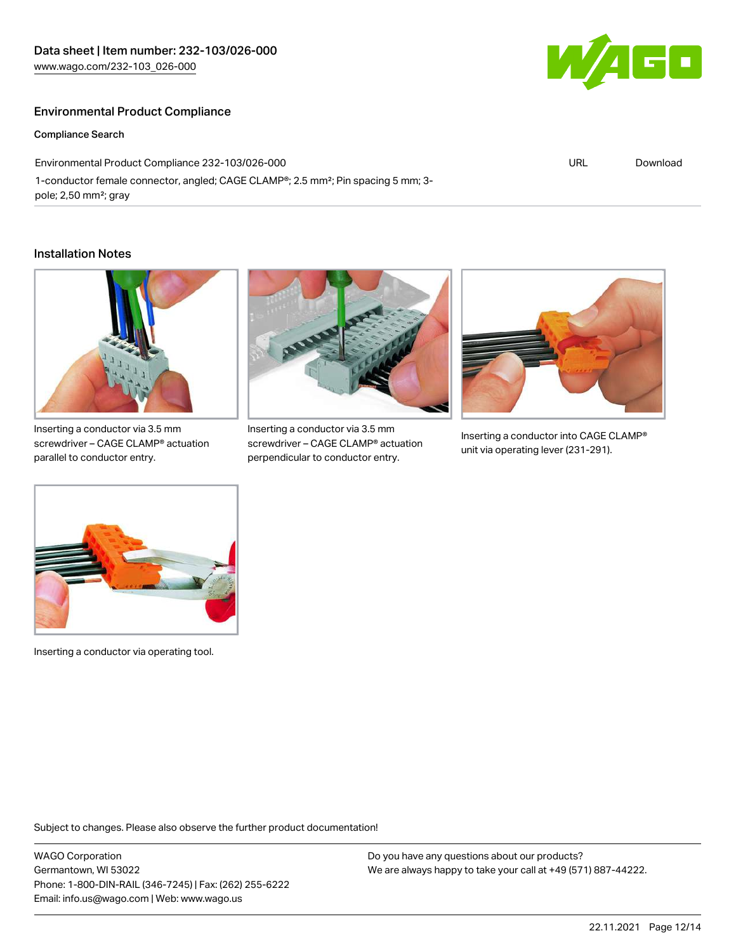## Environmental Product Compliance

#### Compliance Search

Environmental Product Compliance 232-103/026-000 1-conductor female connector, angled; CAGE CLAMP®; 2.5 mm²; Pin spacing 5 mm; 3 pole; 2,50 mm²; gray

#### Installation Notes



Inserting a conductor via 3.5 mm screwdriver – CAGE CLAMP® actuation parallel to conductor entry.



Inserting a conductor via 3.5 mm screwdriver – CAGE CLAMP® actuation perpendicular to conductor entry.



Inserting a conductor into CAGE CLAMP® unit via operating lever (231-291).



Inserting a conductor via operating tool.

Subject to changes. Please also observe the further product documentation!

WAGO Corporation Germantown, WI 53022 Phone: 1-800-DIN-RAIL (346-7245) | Fax: (262) 255-6222 Email: info.us@wago.com | Web: www.wago.us

Do you have any questions about our products? We are always happy to take your call at +49 (571) 887-44222.



URL [Download](https://www.wago.com/global/d/ComplianceLinkMediaContainer_232-103_026-000)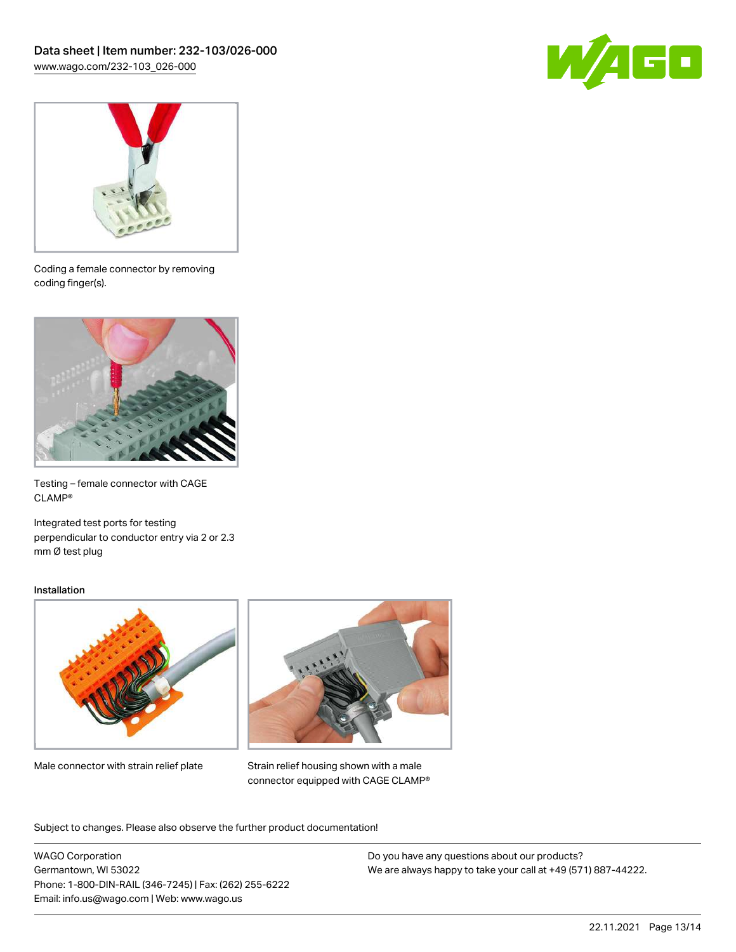



Coding a female connector by removing coding finger(s).



Testing – female connector with CAGE CLAMP®

Integrated test ports for testing perpendicular to conductor entry via 2 or 2.3 mm Ø test plug

#### Installation



Male connector with strain relief plate



Strain relief housing shown with a male connector equipped with CAGE CLAMP®

Subject to changes. Please also observe the further product documentation!

WAGO Corporation Germantown, WI 53022 Phone: 1-800-DIN-RAIL (346-7245) | Fax: (262) 255-6222 Email: info.us@wago.com | Web: www.wago.us